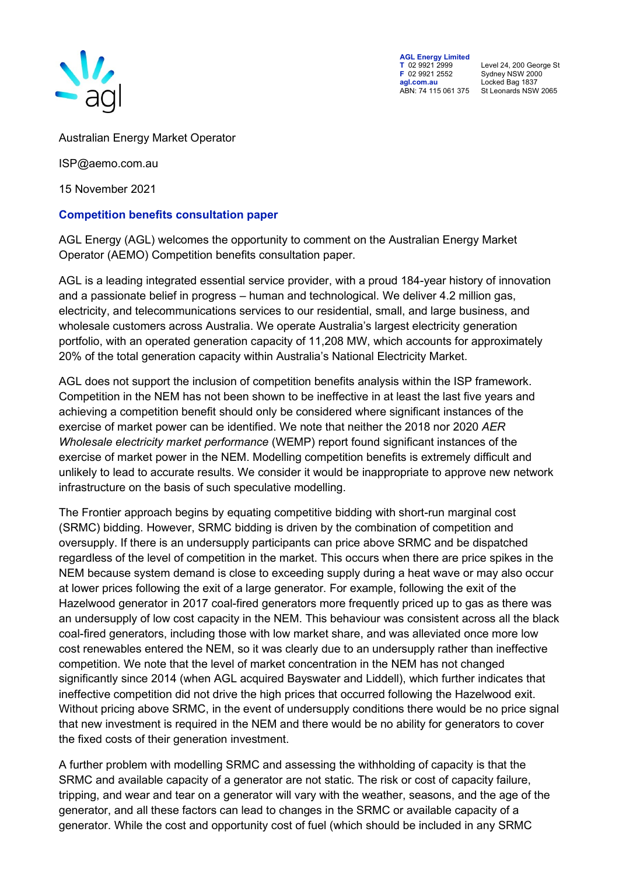

**AGL Energy Limited<br>
T** 02 9921 2999<br> **F** 02 9921 2552 **F** 02 9921 2552 Sydney NSW 2000 **agl.com.au** Locked Bag 1837

**T** 02 9921 2999 Level 24, 200 George St ABN: 74 115 061 375 St Leonards NSW 2065

Australian Energy Market Operator

ISP@aemo.com.au

15 November 2021

## **Competition benefits consultation paper**

AGL Energy (AGL) welcomes the opportunity to comment on the Australian Energy Market Operator (AEMO) Competition benefits consultation paper.

AGL is a leading integrated essential service provider, with a proud 184-year history of innovation and a passionate belief in progress – human and technological. We deliver 4.2 million gas, electricity, and telecommunications services to our residential, small, and large business, and wholesale customers across Australia. We operate Australia's largest electricity generation portfolio, with an operated generation capacity of 11,208 MW, which accounts for approximately 20% of the total generation capacity within Australia's National Electricity Market.

AGL does not support the inclusion of competition benefits analysis within the ISP framework. Competition in the NEM has not been shown to be ineffective in at least the last five years and achieving a competition benefit should only be considered where significant instances of the exercise of market power can be identified. We note that neither the 2018 nor 2020 *AER Wholesale electricity market performance* (WEMP) report found significant instances of the exercise of market power in the NEM. Modelling competition benefits is extremely difficult and unlikely to lead to accurate results. We consider it would be inappropriate to approve new network infrastructure on the basis of such speculative modelling.

The Frontier approach begins by equating competitive bidding with short-run marginal cost (SRMC) bidding. However, SRMC bidding is driven by the combination of competition and oversupply. If there is an undersupply participants can price above SRMC and be dispatched regardless of the level of competition in the market. This occurs when there are price spikes in the NEM because system demand is close to exceeding supply during a heat wave or may also occur at lower prices following the exit of a large generator. For example, following the exit of the Hazelwood generator in 2017 coal-fired generators more frequently priced up to gas as there was an undersupply of low cost capacity in the NEM. This behaviour was consistent across all the black coal-fired generators, including those with low market share, and was alleviated once more low cost renewables entered the NEM, so it was clearly due to an undersupply rather than ineffective competition. We note that the level of market concentration in the NEM has not changed significantly since 2014 (when AGL acquired Bayswater and Liddell), which further indicates that ineffective competition did not drive the high prices that occurred following the Hazelwood exit. Without pricing above SRMC, in the event of undersupply conditions there would be no price signal that new investment is required in the NEM and there would be no ability for generators to cover the fixed costs of their generation investment.

A further problem with modelling SRMC and assessing the withholding of capacity is that the SRMC and available capacity of a generator are not static. The risk or cost of capacity failure, tripping, and wear and tear on a generator will vary with the weather, seasons, and the age of the generator, and all these factors can lead to changes in the SRMC or available capacity of a generator. While the cost and opportunity cost of fuel (which should be included in any SRMC